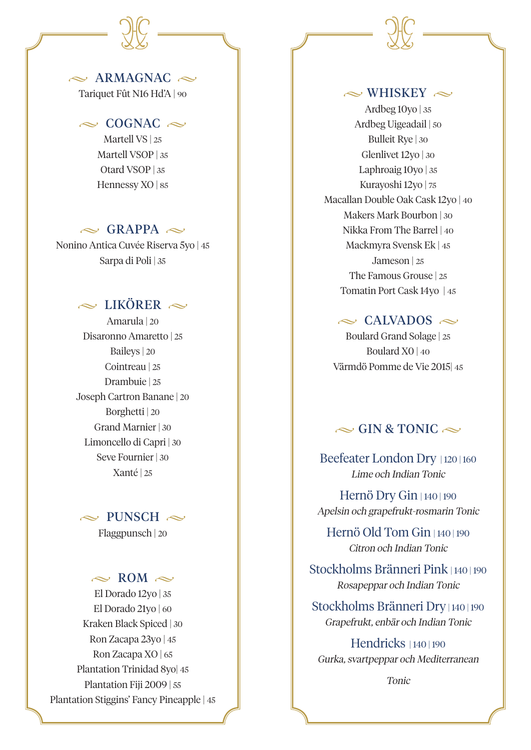# $\sim$  ARMAGNAC  $\sim$

Tariquet Fût N16 Hd'A | 90

#### $\sim$  COGNAC  $\sim$

Martell VS | 25 Martell VSOP | 35 Otard VSOP | 35 Hennessy XO | 85

### $\sim$  GRAPPA  $\sim$

Nonino Antica Cuvée Riserva 5yo | 45 Sarpa di Poli | 35

# $\sim$  LIKÖRER  $\sim$

Amarula | 20 Disaronno Amaretto | 25 Baileys | 20 Cointreau | 25 Drambuie | 25 Joseph Cartron Banane | 20 Borghetti | 20 Grand Marnier | 30 Limoncello di Capri | 30 Seve Fournier | 30 Xanté | 25

#### $\sim$  PUNSCH  $\sim$

Flaggpunsch | 20

#### $\approx$  ROM  $\approx$

El Dorado 12yo | 35 El Dorado 21yo | 60 Kraken Black Spiced | 30 Ron Zacapa 23yo | 45 Ron Zacapa XO | 65 Plantation Trinidad 8yo| 45 Plantation Fiji 2009 | 55 Plantation Stiggins' Fancy Pineapple | 45

### $\sim$  WHISKEY  $\sim$

Ardbeg  $10y0$  | 35 Ardbeg Uigeadail | 50 Bulleit Rye | 30 Glenlivet 12yo | 30 Laphroaig 10yo | 35 Kurayoshi 12yo | 75 Macallan Double Oak Cask 12yo | 40 Makers Mark Bourbon | 30 Nikka From The Barrel | 40 Mackmyra Svensk Ek | 45 Jameson | 25 The Famous Grouse | 25 Tomatin Port Cask 14yo | 45

#### $\approx$  CALVADOS  $\approx$

Boulard Grand Solage | 25 Boulard X0 | 40 Värmdö Pomme de Vie 2015| 45

# $\sim$  GIN & TONIC  $\sim$

Beefeater London Dry | 120 | 160 Lime och Indian Tonic

Hernö Dry Gin | 140 | 190 Apelsin och grapefrukt-rosmarin Tonic

Hernö Old Tom Gin | 140 | 190 Citron och Indian Tonic

Stockholms Bränneri Pink | 140 | 190 Rosapeppar och Indian Tonic

Stockholms Bränneri Dry | 140 | 190 Grapefrukt, enbär och Indian Tonic

Hendricks | 140 | 190 Gurka, svartpeppar och Mediterranean

Tonic